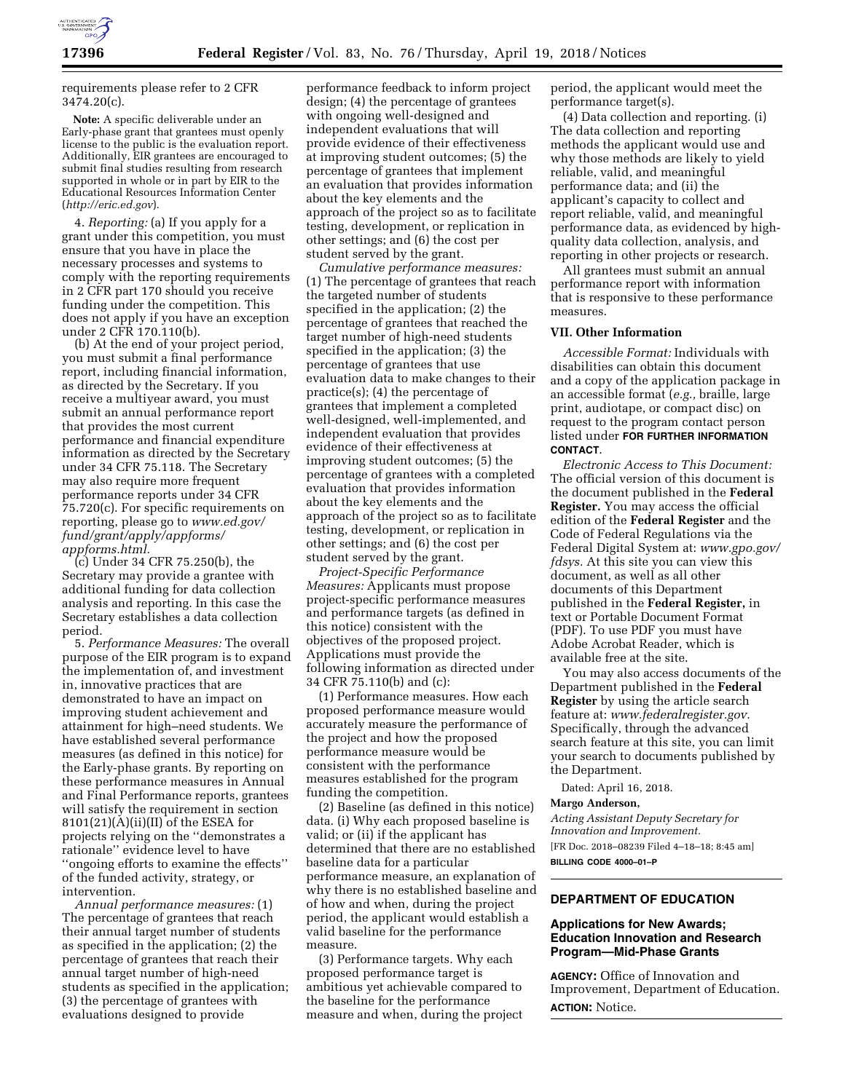

requirements please refer to 2 CFR 3474.20(c).

**Note:** A specific deliverable under an Early-phase grant that grantees must openly license to the public is the evaluation report. Additionally, EIR grantees are encouraged to submit final studies resulting from research supported in whole or in part by EIR to the Educational Resources Information Center (*<http://eric.ed.gov>*).

4. *Reporting:* (a) If you apply for a grant under this competition, you must ensure that you have in place the necessary processes and systems to comply with the reporting requirements in 2 CFR part 170 should you receive funding under the competition. This does not apply if you have an exception under 2 CFR 170.110(b).

(b) At the end of your project period, you must submit a final performance report, including financial information, as directed by the Secretary. If you receive a multiyear award, you must submit an annual performance report that provides the most current performance and financial expenditure information as directed by the Secretary under 34 CFR 75.118. The Secretary may also require more frequent performance reports under 34 CFR 75.720(c). For specific requirements on reporting, please go to *[www.ed.gov/](http://www.ed.gov/fund/grant/apply/appforms/appforms.html) [fund/grant/apply/appforms/](http://www.ed.gov/fund/grant/apply/appforms/appforms.html) [appforms.html.](http://www.ed.gov/fund/grant/apply/appforms/appforms.html)* 

(c) Under 34 CFR 75.250(b), the Secretary may provide a grantee with additional funding for data collection analysis and reporting. In this case the Secretary establishes a data collection period.

5. *Performance Measures:* The overall purpose of the EIR program is to expand the implementation of, and investment in, innovative practices that are demonstrated to have an impact on improving student achievement and attainment for high–need students. We have established several performance measures (as defined in this notice) for the Early-phase grants. By reporting on these performance measures in Annual and Final Performance reports, grantees will satisfy the requirement in section  $8101(21)(A)(ii)(II)$  of the ESEA for projects relying on the ''demonstrates a rationale'' evidence level to have ''ongoing efforts to examine the effects'' of the funded activity, strategy, or intervention.

*Annual performance measures:* (1) The percentage of grantees that reach their annual target number of students as specified in the application; (2) the percentage of grantees that reach their annual target number of high-need students as specified in the application; (3) the percentage of grantees with evaluations designed to provide

performance feedback to inform project design; (4) the percentage of grantees with ongoing well-designed and independent evaluations that will provide evidence of their effectiveness at improving student outcomes; (5) the percentage of grantees that implement an evaluation that provides information about the key elements and the approach of the project so as to facilitate testing, development, or replication in other settings; and (6) the cost per student served by the grant.

*Cumulative performance measures:*  (1) The percentage of grantees that reach the targeted number of students specified in the application; (2) the percentage of grantees that reached the target number of high-need students specified in the application; (3) the percentage of grantees that use evaluation data to make changes to their practice(s); (4) the percentage of grantees that implement a completed well-designed, well-implemented, and independent evaluation that provides evidence of their effectiveness at improving student outcomes; (5) the percentage of grantees with a completed evaluation that provides information about the key elements and the approach of the project so as to facilitate testing, development, or replication in other settings; and (6) the cost per student served by the grant.

*Project-Specific Performance Measures:* Applicants must propose project-specific performance measures and performance targets (as defined in this notice) consistent with the objectives of the proposed project. Applications must provide the following information as directed under 34 CFR 75.110(b) and (c):

(1) Performance measures. How each proposed performance measure would accurately measure the performance of the project and how the proposed performance measure would be consistent with the performance measures established for the program funding the competition.

(2) Baseline (as defined in this notice) data. (i) Why each proposed baseline is valid; or (ii) if the applicant has determined that there are no established baseline data for a particular performance measure, an explanation of why there is no established baseline and of how and when, during the project period, the applicant would establish a valid baseline for the performance measure.

(3) Performance targets. Why each proposed performance target is ambitious yet achievable compared to the baseline for the performance measure and when, during the project period, the applicant would meet the performance target(s).

(4) Data collection and reporting. (i) The data collection and reporting methods the applicant would use and why those methods are likely to yield reliable, valid, and meaningful performance data; and (ii) the applicant's capacity to collect and report reliable, valid, and meaningful performance data, as evidenced by highquality data collection, analysis, and reporting in other projects or research.

All grantees must submit an annual performance report with information that is responsive to these performance measures.

# **VII. Other Information**

*Accessible Format:* Individuals with disabilities can obtain this document and a copy of the application package in an accessible format (*e.g.,* braille, large print, audiotape, or compact disc) on request to the program contact person listed under **FOR FURTHER INFORMATION CONTACT**.

*Electronic Access to This Document:*  The official version of this document is the document published in the **Federal Register.** You may access the official edition of the **Federal Register** and the Code of Federal Regulations via the Federal Digital System at: *[www.gpo.gov/](http://www.gpo.gov/fdsys)  [fdsys.](http://www.gpo.gov/fdsys)* At this site you can view this document, as well as all other documents of this Department published in the **Federal Register,** in text or Portable Document Format (PDF). To use PDF you must have Adobe Acrobat Reader, which is available free at the site.

You may also access documents of the Department published in the **Federal Register** by using the article search feature at: *[www.federalregister.gov.](http://www.federalregister.gov)*  Specifically, through the advanced search feature at this site, you can limit your search to documents published by the Department.

Dated: April 16, 2018.

#### **Margo Anderson,**

*Acting Assistant Deputy Secretary for Innovation and Improvement.* 

[FR Doc. 2018–08239 Filed 4–18–18; 8:45 am] **BILLING CODE 4000–01–P** 

# **DEPARTMENT OF EDUCATION**

# **Applications for New Awards; Education Innovation and Research Program—Mid-Phase Grants**

**AGENCY:** Office of Innovation and Improvement, Department of Education. **ACTION:** Notice.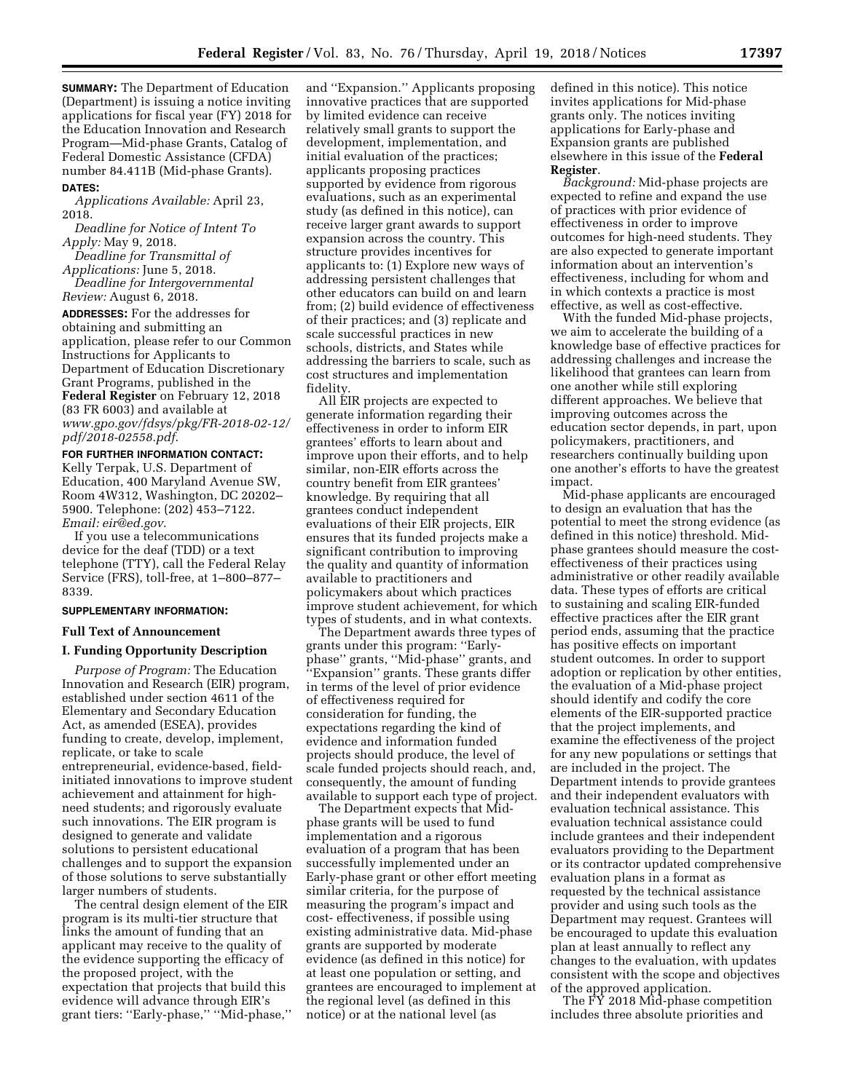**SUMMARY:** The Department of Education (Department) is issuing a notice inviting applications for fiscal year (FY) 2018 for the Education Innovation and Research Program—Mid-phase Grants, Catalog of Federal Domestic Assistance (CFDA) number 84.411B (Mid-phase Grants). **DATES:**

*Applications Available:* April 23, 2018.

*Deadline for Notice of Intent To Apply:* May 9, 2018.

*Deadline for Transmittal of Applications:* June 5, 2018.

*Deadline for Intergovernmental Review:* August 6, 2018.

**ADDRESSES:** For the addresses for obtaining and submitting an application, please refer to our Common Instructions for Applicants to Department of Education Discretionary Grant Programs, published in the **Federal Register** on February 12, 2018 (83 FR 6003) and available at *[www.gpo.gov/fdsys/pkg/FR-2018-02-12/](http://www.gpo.gov/fdsys/pkg/FR-2018-02-12/pdf/2018-02558.pdf) [pdf/2018-02558.pdf](http://www.gpo.gov/fdsys/pkg/FR-2018-02-12/pdf/2018-02558.pdf)*.

**FOR FURTHER INFORMATION CONTACT:**  Kelly Terpak, U.S. Department of Education, 400 Maryland Avenue SW, Room 4W312, Washington, DC 20202– 5900. Telephone: (202) 453–7122. *Email: [eir@ed.gov](mailto:eir@ed.gov)*.

If you use a telecommunications device for the deaf (TDD) or a text telephone (TTY), call the Federal Relay Service (FRS), toll-free, at 1–800–877– 8339.

# **SUPPLEMENTARY INFORMATION:**

# **Full Text of Announcement**

# **I. Funding Opportunity Description**

*Purpose of Program:* The Education Innovation and Research (EIR) program, established under section 4611 of the Elementary and Secondary Education Act, as amended (ESEA), provides funding to create, develop, implement, replicate, or take to scale entrepreneurial, evidence-based, fieldinitiated innovations to improve student achievement and attainment for highneed students; and rigorously evaluate such innovations. The EIR program is designed to generate and validate solutions to persistent educational challenges and to support the expansion of those solutions to serve substantially larger numbers of students.

The central design element of the EIR program is its multi-tier structure that links the amount of funding that an applicant may receive to the quality of the evidence supporting the efficacy of the proposed project, with the expectation that projects that build this evidence will advance through EIR's grant tiers: ''Early-phase,'' ''Mid-phase,''

and ''Expansion.'' Applicants proposing innovative practices that are supported by limited evidence can receive relatively small grants to support the development, implementation, and initial evaluation of the practices; applicants proposing practices supported by evidence from rigorous evaluations, such as an experimental study (as defined in this notice), can receive larger grant awards to support expansion across the country. This structure provides incentives for applicants to: (1) Explore new ways of addressing persistent challenges that other educators can build on and learn from; (2) build evidence of effectiveness of their practices; and (3) replicate and scale successful practices in new schools, districts, and States while addressing the barriers to scale, such as cost structures and implementation fidelity.

All EIR projects are expected to generate information regarding their effectiveness in order to inform EIR grantees' efforts to learn about and improve upon their efforts, and to help similar, non-EIR efforts across the country benefit from EIR grantees' knowledge. By requiring that all grantees conduct independent evaluations of their EIR projects, EIR ensures that its funded projects make a significant contribution to improving the quality and quantity of information available to practitioners and policymakers about which practices improve student achievement, for which types of students, and in what contexts.

The Department awards three types of grants under this program: ''Earlyphase'' grants, ''Mid-phase'' grants, and ''Expansion'' grants. These grants differ in terms of the level of prior evidence of effectiveness required for consideration for funding, the expectations regarding the kind of evidence and information funded projects should produce, the level of scale funded projects should reach, and, consequently, the amount of funding available to support each type of project.

The Department expects that Midphase grants will be used to fund implementation and a rigorous evaluation of a program that has been successfully implemented under an Early-phase grant or other effort meeting similar criteria, for the purpose of measuring the program's impact and cost- effectiveness, if possible using existing administrative data. Mid-phase grants are supported by moderate evidence (as defined in this notice) for at least one population or setting, and grantees are encouraged to implement at the regional level (as defined in this notice) or at the national level (as

defined in this notice). This notice invites applications for Mid-phase grants only. The notices inviting applications for Early-phase and Expansion grants are published elsewhere in this issue of the **Federal Register**.

*Background:* Mid-phase projects are expected to refine and expand the use of practices with prior evidence of effectiveness in order to improve outcomes for high-need students. They are also expected to generate important information about an intervention's effectiveness, including for whom and in which contexts a practice is most effective, as well as cost-effective.

With the funded Mid-phase projects, we aim to accelerate the building of a knowledge base of effective practices for addressing challenges and increase the likelihood that grantees can learn from one another while still exploring different approaches. We believe that improving outcomes across the education sector depends, in part, upon policymakers, practitioners, and researchers continually building upon one another's efforts to have the greatest impact.

Mid-phase applicants are encouraged to design an evaluation that has the potential to meet the strong evidence (as defined in this notice) threshold. Midphase grantees should measure the costeffectiveness of their practices using administrative or other readily available data. These types of efforts are critical to sustaining and scaling EIR-funded effective practices after the EIR grant period ends, assuming that the practice has positive effects on important student outcomes. In order to support adoption or replication by other entities, the evaluation of a Mid-phase project should identify and codify the core elements of the EIR-supported practice that the project implements, and examine the effectiveness of the project for any new populations or settings that are included in the project. The Department intends to provide grantees and their independent evaluators with evaluation technical assistance. This evaluation technical assistance could include grantees and their independent evaluators providing to the Department or its contractor updated comprehensive evaluation plans in a format as requested by the technical assistance provider and using such tools as the Department may request. Grantees will be encouraged to update this evaluation plan at least annually to reflect any changes to the evaluation, with updates consistent with the scope and objectives of the approved application.

The FY 2018 Mid-phase competition includes three absolute priorities and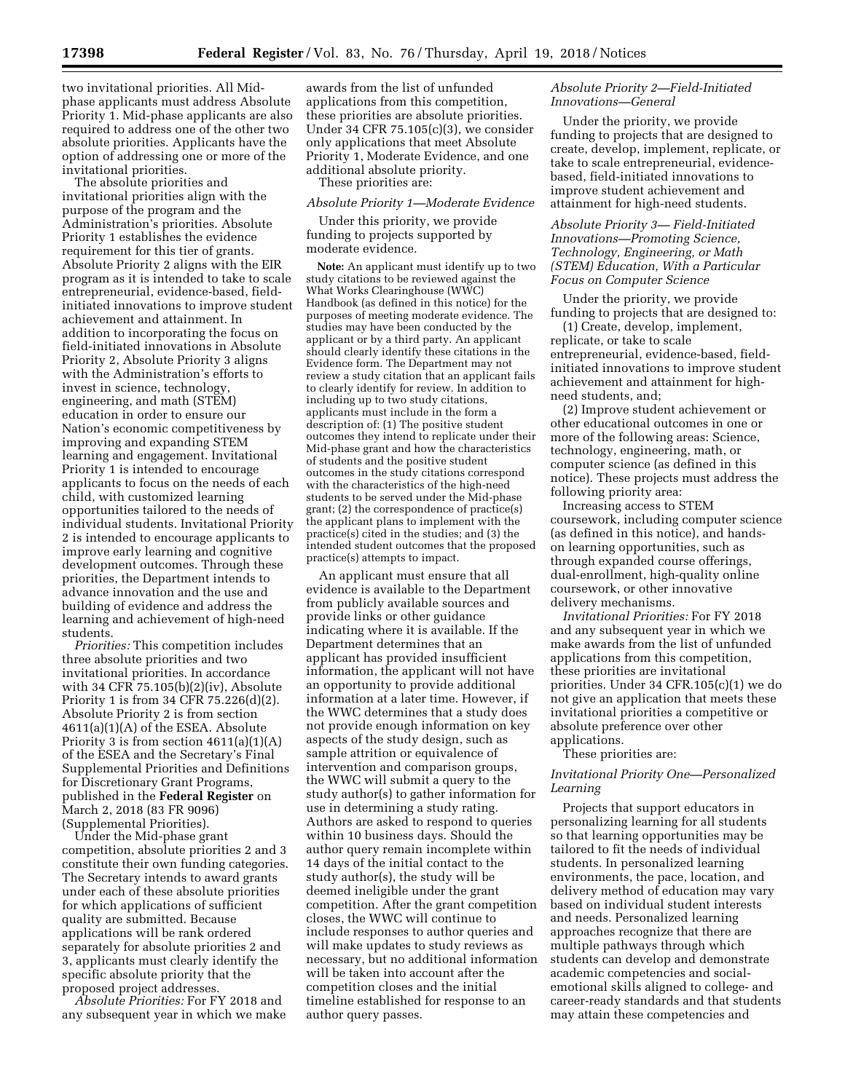two invitational priorities. All Midphase applicants must address Absolute Priority 1. Mid-phase applicants are also required to address one of the other two absolute priorities. Applicants have the option of addressing one or more of the invitational priorities.

The absolute priorities and invitational priorities align with the purpose of the program and the Administration's priorities. Absolute Priority 1 establishes the evidence requirement for this tier of grants. Absolute Priority 2 aligns with the EIR program as it is intended to take to scale entrepreneurial, evidence-based, fieldinitiated innovations to improve student achievement and attainment. In addition to incorporating the focus on field-initiated innovations in Absolute Priority 2, Absolute Priority 3 aligns with the Administration's efforts to invest in science, technology, engineering, and math (STEM) education in order to ensure our Nation's economic competitiveness by improving and expanding STEM learning and engagement. Invitational Priority 1 is intended to encourage applicants to focus on the needs of each child, with customized learning opportunities tailored to the needs of individual students. Invitational Priority 2 is intended to encourage applicants to improve early learning and cognitive development outcomes. Through these priorities, the Department intends to advance innovation and the use and building of evidence and address the learning and achievement of high-need students.

*Priorities:* This competition includes three absolute priorities and two invitational priorities. In accordance with 34 CFR 75.105(b)(2)(iv), Absolute Priority 1 is from 34 CFR 75.226(d)(2). Absolute Priority 2 is from section 4611(a)(1)(A) of the ESEA. Absolute Priority 3 is from section  $4611(a)(1)(A)$ of the ESEA and the Secretary's Final Supplemental Priorities and Definitions for Discretionary Grant Programs, published in the **Federal Register** on March 2, 2018 (83 FR 9096) (Supplemental Priorities).

Under the Mid-phase grant competition, absolute priorities 2 and 3 constitute their own funding categories. The Secretary intends to award grants under each of these absolute priorities for which applications of sufficient quality are submitted. Because applications will be rank ordered separately for absolute priorities 2 and 3, applicants must clearly identify the specific absolute priority that the proposed project addresses.

*Absolute Priorities:* For FY 2018 and any subsequent year in which we make

awards from the list of unfunded applications from this competition, these priorities are absolute priorities. Under 34 CFR 75.105(c)(3), we consider only applications that meet Absolute Priority 1, Moderate Evidence, and one additional absolute priority. These priorities are:

#### *Absolute Priority 1—Moderate Evidence*

Under this priority, we provide funding to projects supported by moderate evidence.

**Note:** An applicant must identify up to two study citations to be reviewed against the What Works Clearinghouse (WWC) Handbook (as defined in this notice) for the purposes of meeting moderate evidence. The studies may have been conducted by the applicant or by a third party. An applicant should clearly identify these citations in the Evidence form. The Department may not review a study citation that an applicant fails to clearly identify for review. In addition to including up to two study citations, applicants must include in the form a description of: (1) The positive student outcomes they intend to replicate under their Mid-phase grant and how the characteristics of students and the positive student outcomes in the study citations correspond with the characteristics of the high-need students to be served under the Mid-phase grant; (2) the correspondence of practice(s) the applicant plans to implement with the practice(s) cited in the studies; and (3) the intended student outcomes that the proposed practice(s) attempts to impact.

An applicant must ensure that all evidence is available to the Department from publicly available sources and provide links or other guidance indicating where it is available. If the Department determines that an applicant has provided insufficient information, the applicant will not have an opportunity to provide additional information at a later time. However, if the WWC determines that a study does not provide enough information on key aspects of the study design, such as sample attrition or equivalence of intervention and comparison groups, the WWC will submit a query to the study author(s) to gather information for use in determining a study rating. Authors are asked to respond to queries within 10 business days. Should the author query remain incomplete within 14 days of the initial contact to the study author(s), the study will be deemed ineligible under the grant competition. After the grant competition closes, the WWC will continue to include responses to author queries and will make updates to study reviews as necessary, but no additional information will be taken into account after the competition closes and the initial timeline established for response to an author query passes.

# *Absolute Priority 2—Field-Initiated Innovations—General*

Under the priority, we provide funding to projects that are designed to create, develop, implement, replicate, or take to scale entrepreneurial, evidencebased, field-initiated innovations to improve student achievement and attainment for high-need students.

# *Absolute Priority 3— Field-Initiated Innovations—Promoting Science, Technology, Engineering, or Math (STEM) Education, With a Particular Focus on Computer Science*

Under the priority, we provide funding to projects that are designed to:

(1) Create, develop, implement, replicate, or take to scale entrepreneurial, evidence-based, fieldinitiated innovations to improve student achievement and attainment for highneed students, and;

(2) Improve student achievement or other educational outcomes in one or more of the following areas: Science, technology, engineering, math, or computer science (as defined in this notice). These projects must address the following priority area:

Increasing access to STEM coursework, including computer science (as defined in this notice), and handson learning opportunities, such as through expanded course offerings, dual-enrollment, high-quality online coursework, or other innovative delivery mechanisms.

*Invitational Priorities:* For FY 2018 and any subsequent year in which we make awards from the list of unfunded applications from this competition, these priorities are invitational priorities. Under 34 CFR.105(c)(1) we do not give an application that meets these invitational priorities a competitive or absolute preference over other applications.

These priorities are:

# *Invitational Priority One—Personalized Learning*

Projects that support educators in personalizing learning for all students so that learning opportunities may be tailored to fit the needs of individual students. In personalized learning environments, the pace, location, and delivery method of education may vary based on individual student interests and needs. Personalized learning approaches recognize that there are multiple pathways through which students can develop and demonstrate academic competencies and socialemotional skills aligned to college- and career-ready standards and that students may attain these competencies and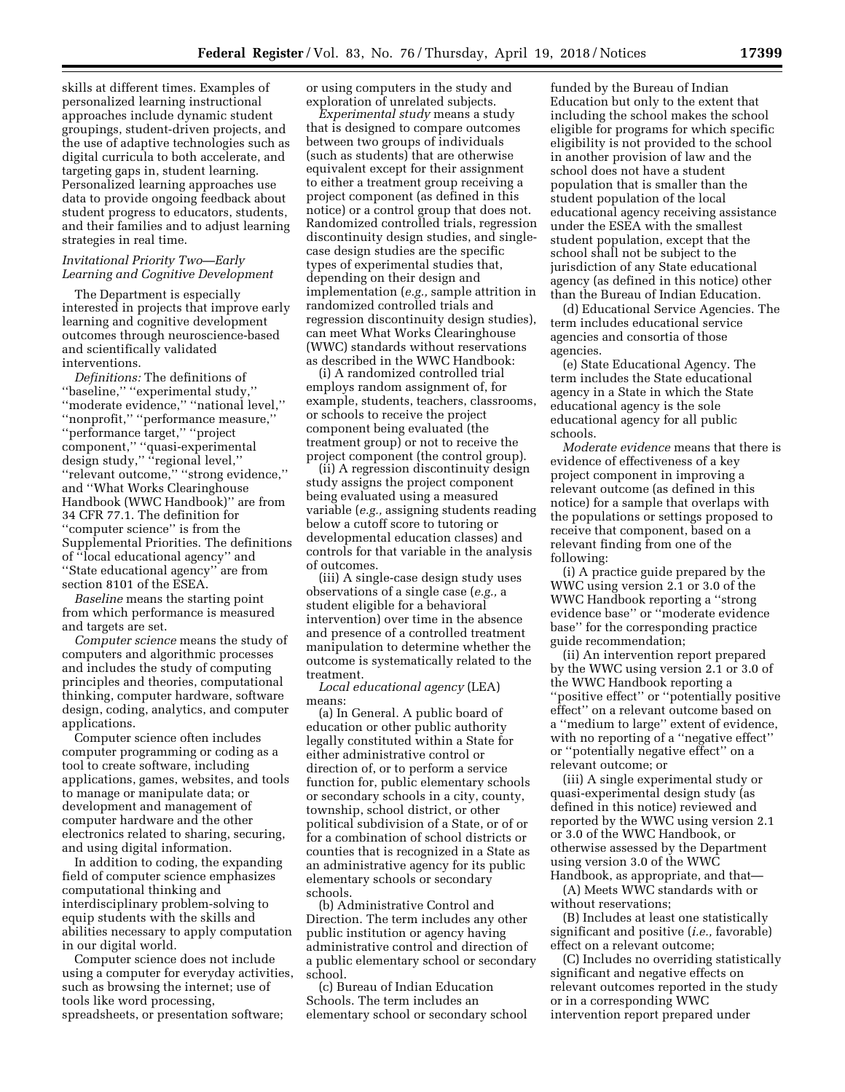skills at different times. Examples of personalized learning instructional approaches include dynamic student groupings, student-driven projects, and the use of adaptive technologies such as digital curricula to both accelerate, and targeting gaps in, student learning. Personalized learning approaches use data to provide ongoing feedback about student progress to educators, students, and their families and to adjust learning strategies in real time.

## *Invitational Priority Two—Early Learning and Cognitive Development*

The Department is especially interested in projects that improve early learning and cognitive development outcomes through neuroscience-based and scientifically validated interventions.

*Definitions:* The definitions of ''baseline,'' ''experimental study,'' ''moderate evidence,'' ''national level,'' ''nonprofit,'' ''performance measure,'' ''performance target,'' ''project component,'' ''quasi-experimental design study," "regional level," ''relevant outcome,'' ''strong evidence,'' and ''What Works Clearinghouse Handbook (WWC Handbook)'' are from 34 CFR 77.1. The definition for ''computer science'' is from the Supplemental Priorities. The definitions of ''local educational agency'' and ''State educational agency'' are from section 8101 of the ESEA.

*Baseline* means the starting point from which performance is measured and targets are set.

*Computer science* means the study of computers and algorithmic processes and includes the study of computing principles and theories, computational thinking, computer hardware, software design, coding, analytics, and computer applications.

Computer science often includes computer programming or coding as a tool to create software, including applications, games, websites, and tools to manage or manipulate data; or development and management of computer hardware and the other electronics related to sharing, securing, and using digital information.

In addition to coding, the expanding field of computer science emphasizes computational thinking and interdisciplinary problem-solving to equip students with the skills and abilities necessary to apply computation in our digital world.

Computer science does not include using a computer for everyday activities, such as browsing the internet; use of tools like word processing, spreadsheets, or presentation software;

or using computers in the study and exploration of unrelated subjects.

*Experimental study* means a study that is designed to compare outcomes between two groups of individuals (such as students) that are otherwise equivalent except for their assignment to either a treatment group receiving a project component (as defined in this notice) or a control group that does not. Randomized controlled trials, regression discontinuity design studies, and singlecase design studies are the specific types of experimental studies that, depending on their design and implementation (*e.g.,* sample attrition in randomized controlled trials and regression discontinuity design studies), can meet What Works Clearinghouse (WWC) standards without reservations as described in the WWC Handbook:

(i) A randomized controlled trial employs random assignment of, for example, students, teachers, classrooms, or schools to receive the project component being evaluated (the treatment group) or not to receive the project component (the control group).

(ii) A regression discontinuity design study assigns the project component being evaluated using a measured variable (*e.g.,* assigning students reading below a cutoff score to tutoring or developmental education classes) and controls for that variable in the analysis of outcomes.

(iii) A single-case design study uses observations of a single case (*e.g.,* a student eligible for a behavioral intervention) over time in the absence and presence of a controlled treatment manipulation to determine whether the outcome is systematically related to the treatment.

*Local educational agency* (LEA) means:

(a) In General. A public board of education or other public authority legally constituted within a State for either administrative control or direction of, or to perform a service function for, public elementary schools or secondary schools in a city, county, township, school district, or other political subdivision of a State, or of or for a combination of school districts or counties that is recognized in a State as an administrative agency for its public elementary schools or secondary schools.

(b) Administrative Control and Direction. The term includes any other public institution or agency having administrative control and direction of a public elementary school or secondary school.

(c) Bureau of Indian Education Schools. The term includes an elementary school or secondary school

funded by the Bureau of Indian Education but only to the extent that including the school makes the school eligible for programs for which specific eligibility is not provided to the school in another provision of law and the school does not have a student population that is smaller than the student population of the local educational agency receiving assistance under the ESEA with the smallest student population, except that the school shall not be subject to the jurisdiction of any State educational agency (as defined in this notice) other than the Bureau of Indian Education.

(d) Educational Service Agencies. The term includes educational service agencies and consortia of those agencies.

(e) State Educational Agency. The term includes the State educational agency in a State in which the State educational agency is the sole educational agency for all public schools.

*Moderate evidence* means that there is evidence of effectiveness of a key project component in improving a relevant outcome (as defined in this notice) for a sample that overlaps with the populations or settings proposed to receive that component, based on a relevant finding from one of the following:

(i) A practice guide prepared by the WWC using version 2.1 or 3.0 of the WWC Handbook reporting a ''strong evidence base'' or ''moderate evidence base'' for the corresponding practice guide recommendation;

(ii) An intervention report prepared by the WWC using version 2.1 or 3.0 of the WWC Handbook reporting a ''positive effect'' or ''potentially positive effect'' on a relevant outcome based on a ''medium to large'' extent of evidence, with no reporting of a "negative effect" or ''potentially negative effect'' on a relevant outcome; or

(iii) A single experimental study or quasi-experimental design study (as defined in this notice) reviewed and reported by the WWC using version 2.1 or 3.0 of the WWC Handbook, or otherwise assessed by the Department using version 3.0 of the WWC Handbook, as appropriate, and that—

(A) Meets WWC standards with or without reservations;

(B) Includes at least one statistically significant and positive (*i.e.,* favorable) effect on a relevant outcome;

(C) Includes no overriding statistically significant and negative effects on relevant outcomes reported in the study or in a corresponding WWC intervention report prepared under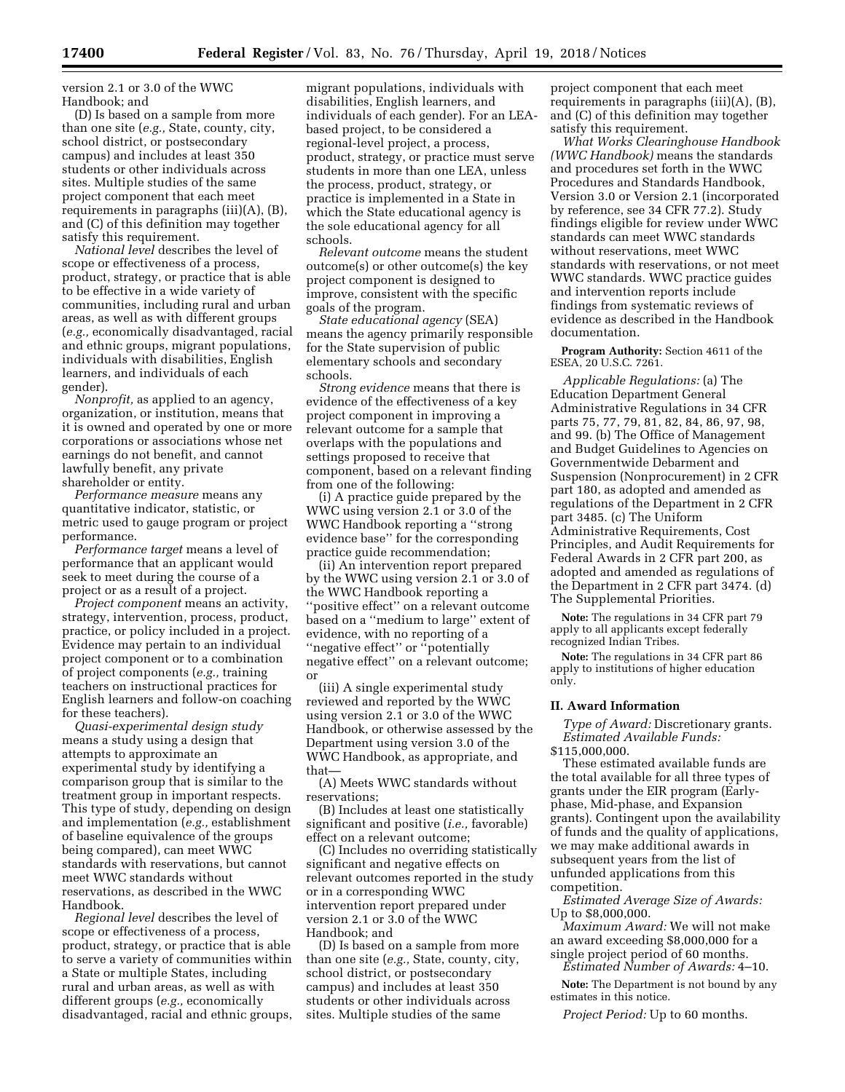version 2.1 or 3.0 of the WWC Handbook; and

(D) Is based on a sample from more than one site (*e.g.,* State, county, city, school district, or postsecondary campus) and includes at least 350 students or other individuals across sites. Multiple studies of the same project component that each meet requirements in paragraphs (iii)(A), (B), and (C) of this definition may together satisfy this requirement.

*National level* describes the level of scope or effectiveness of a process, product, strategy, or practice that is able to be effective in a wide variety of communities, including rural and urban areas, as well as with different groups (*e.g.,* economically disadvantaged, racial and ethnic groups, migrant populations, individuals with disabilities, English learners, and individuals of each gender).

*Nonprofit,* as applied to an agency, organization, or institution, means that it is owned and operated by one or more corporations or associations whose net earnings do not benefit, and cannot lawfully benefit, any private shareholder or entity.

*Performance measure* means any quantitative indicator, statistic, or metric used to gauge program or project performance.

*Performance target* means a level of performance that an applicant would seek to meet during the course of a project or as a result of a project.

*Project component* means an activity, strategy, intervention, process, product, practice, or policy included in a project. Evidence may pertain to an individual project component or to a combination of project components (*e.g.,* training teachers on instructional practices for English learners and follow-on coaching for these teachers).

*Quasi-experimental design study*  means a study using a design that attempts to approximate an experimental study by identifying a comparison group that is similar to the treatment group in important respects. This type of study, depending on design and implementation (*e.g.,* establishment of baseline equivalence of the groups being compared), can meet WWC standards with reservations, but cannot meet WWC standards without reservations, as described in the WWC Handbook.

*Regional level* describes the level of scope or effectiveness of a process, product, strategy, or practice that is able to serve a variety of communities within a State or multiple States, including rural and urban areas, as well as with different groups (*e.g.,* economically disadvantaged, racial and ethnic groups,

migrant populations, individuals with disabilities, English learners, and individuals of each gender). For an LEAbased project, to be considered a regional-level project, a process, product, strategy, or practice must serve students in more than one LEA, unless the process, product, strategy, or practice is implemented in a State in which the State educational agency is the sole educational agency for all schools.

*Relevant outcome* means the student outcome(s) or other outcome(s) the key project component is designed to improve, consistent with the specific goals of the program.

*State educational agency* (SEA) means the agency primarily responsible for the State supervision of public elementary schools and secondary schools.

*Strong evidence* means that there is evidence of the effectiveness of a key project component in improving a relevant outcome for a sample that overlaps with the populations and settings proposed to receive that component, based on a relevant finding from one of the following:

(i) A practice guide prepared by the WWC using version 2.1 or 3.0 of the WWC Handbook reporting a ''strong evidence base'' for the corresponding practice guide recommendation;

(ii) An intervention report prepared by the WWC using version 2.1 or 3.0 of the WWC Handbook reporting a ''positive effect'' on a relevant outcome based on a ''medium to large'' extent of evidence, with no reporting of a ''negative effect'' or ''potentially negative effect'' on a relevant outcome; or

(iii) A single experimental study reviewed and reported by the WWC using version 2.1 or 3.0 of the WWC Handbook, or otherwise assessed by the Department using version 3.0 of the WWC Handbook, as appropriate, and that—

(A) Meets WWC standards without reservations;

(B) Includes at least one statistically significant and positive (*i.e.,* favorable) effect on a relevant outcome;

(C) Includes no overriding statistically significant and negative effects on relevant outcomes reported in the study or in a corresponding WWC intervention report prepared under version 2.1 or 3.0 of the WWC Handbook; and

(D) Is based on a sample from more than one site (*e.g.,* State, county, city, school district, or postsecondary campus) and includes at least 350 students or other individuals across sites. Multiple studies of the same

project component that each meet requirements in paragraphs (iii)(A), (B), and (C) of this definition may together satisfy this requirement.

*What Works Clearinghouse Handbook (WWC Handbook)* means the standards and procedures set forth in the WWC Procedures and Standards Handbook, Version 3.0 or Version 2.1 (incorporated by reference, see 34 CFR 77.2). Study findings eligible for review under WWC standards can meet WWC standards without reservations, meet WWC standards with reservations, or not meet WWC standards. WWC practice guides and intervention reports include findings from systematic reviews of evidence as described in the Handbook documentation.

**Program Authority:** Section 4611 of the ESEA, 20 U.S.C. 7261.

*Applicable Regulations:* (a) The Education Department General Administrative Regulations in 34 CFR parts 75, 77, 79, 81, 82, 84, 86, 97, 98, and 99. (b) The Office of Management and Budget Guidelines to Agencies on Governmentwide Debarment and Suspension (Nonprocurement) in 2 CFR part 180, as adopted and amended as regulations of the Department in 2 CFR part 3485. (c) The Uniform Administrative Requirements, Cost Principles, and Audit Requirements for Federal Awards in 2 CFR part 200, as adopted and amended as regulations of the Department in 2 CFR part 3474. (d) The Supplemental Priorities.

**Note:** The regulations in 34 CFR part 79 apply to all applicants except federally recognized Indian Tribes.

**Note:** The regulations in 34 CFR part 86 apply to institutions of higher education only.

## **II. Award Information**

*Type of Award:* Discretionary grants. *Estimated Available Funds:*  \$115,000,000.

These estimated available funds are the total available for all three types of grants under the EIR program (Earlyphase, Mid-phase, and Expansion grants). Contingent upon the availability of funds and the quality of applications, we may make additional awards in subsequent years from the list of unfunded applications from this competition.

*Estimated Average Size of Awards:*  Up to \$8,000,000.

*Maximum Award:* We will not make an award exceeding \$8,000,000 for a single project period of 60 months. *Estimated Number of Awards:* 4–10.

**Note:** The Department is not bound by any estimates in this notice.

*Project Period:* Up to 60 months.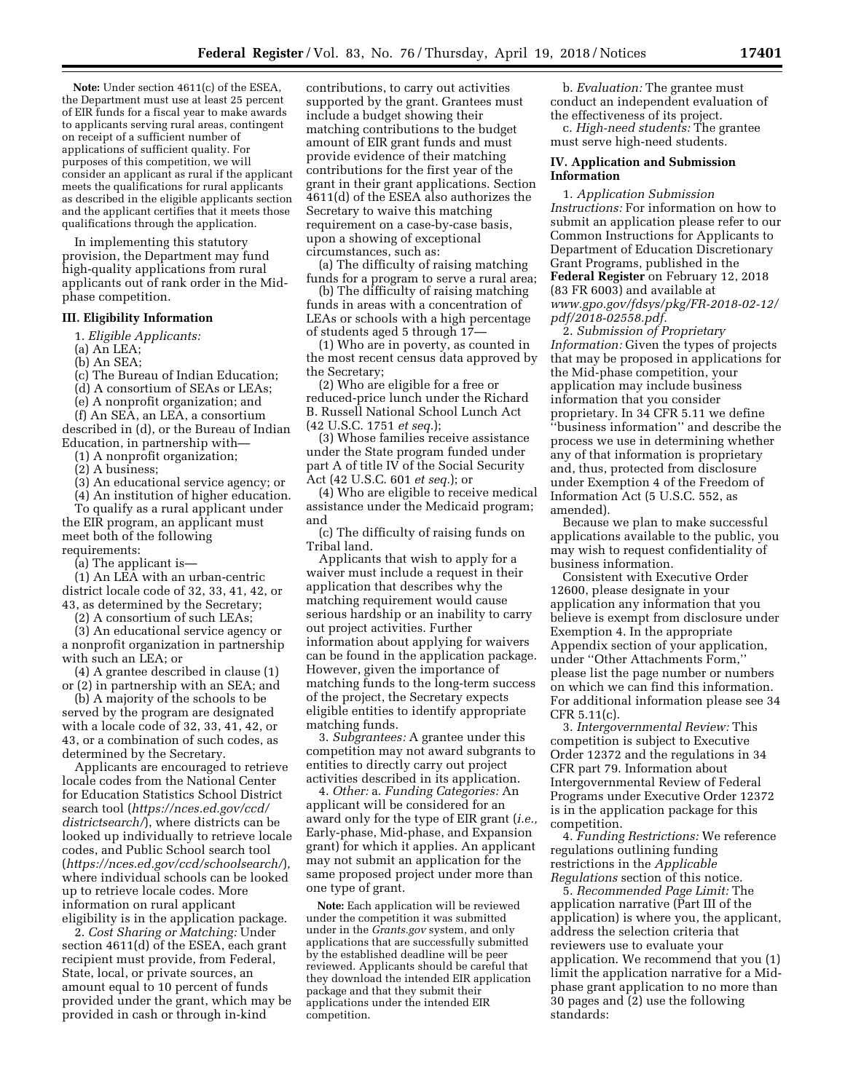**Note:** Under section 4611(c) of the ESEA, the Department must use at least 25 percent of EIR funds for a fiscal year to make awards to applicants serving rural areas, contingent on receipt of a sufficient number of applications of sufficient quality. For purposes of this competition, we will consider an applicant as rural if the applicant meets the qualifications for rural applicants as described in the eligible applicants section and the applicant certifies that it meets those qualifications through the application.

In implementing this statutory provision, the Department may fund high-quality applications from rural applicants out of rank order in the Midphase competition.

## **III. Eligibility Information**

1. *Eligible Applicants:* 

(a) An LEA;

(b) An SEA;

(c) The Bureau of Indian Education;

(d) A consortium of SEAs or LEAs;

(e) A nonprofit organization; and

(f) An SEA, an LEA, a consortium described in (d), or the Bureau of Indian Education, in partnership with—

(1) A nonprofit organization;

(2) A business;

(3) An educational service agency; or

(4) An institution of higher education.

To qualify as a rural applicant under the EIR program, an applicant must meet both of the following requirements:

(a) The applicant is—

(1) An LEA with an urban-centric district locale code of 32, 33, 41, 42, or 43, as determined by the Secretary;

(2) A consortium of such LEAs;

(3) An educational service agency or a nonprofit organization in partnership with such an LEA; or

(4) A grantee described in clause (1) or (2) in partnership with an SEA; and

(b) A majority of the schools to be served by the program are designated with a locale code of 32, 33, 41, 42, or 43, or a combination of such codes, as determined by the Secretary.

Applicants are encouraged to retrieve locale codes from the National Center for Education Statistics School District search tool (*[https://nces.ed.gov/ccd/](https://nces.ed.gov/ccd/districtsearch/) [districtsearch/](https://nces.ed.gov/ccd/districtsearch/)*), where districts can be looked up individually to retrieve locale codes, and Public School search tool (*<https://nces.ed.gov/ccd/schoolsearch/>*), where individual schools can be looked up to retrieve locale codes. More information on rural applicant eligibility is in the application package.

2. *Cost Sharing or Matching:* Under section 4611(d) of the ESEA, each grant recipient must provide, from Federal, State, local, or private sources, an amount equal to 10 percent of funds provided under the grant, which may be provided in cash or through in-kind

contributions, to carry out activities supported by the grant. Grantees must include a budget showing their matching contributions to the budget amount of EIR grant funds and must provide evidence of their matching contributions for the first year of the grant in their grant applications. Section 4611(d) of the ESEA also authorizes the Secretary to waive this matching requirement on a case-by-case basis, upon a showing of exceptional circumstances, such as:

(a) The difficulty of raising matching funds for a program to serve a rural area;

(b) The difficulty of raising matching funds in areas with a concentration of LEAs or schools with a high percentage of students aged 5 through 17—

(1) Who are in poverty, as counted in the most recent census data approved by the Secretary;

(2) Who are eligible for a free or reduced-price lunch under the Richard B. Russell National School Lunch Act (42 U.S.C. 1751 *et seq.*);

(3) Whose families receive assistance under the State program funded under part A of title IV of the Social Security Act (42 U.S.C. 601 *et seq.*); or

(4) Who are eligible to receive medical assistance under the Medicaid program; and

(c) The difficulty of raising funds on Tribal land.

Applicants that wish to apply for a waiver must include a request in their application that describes why the matching requirement would cause serious hardship or an inability to carry out project activities. Further information about applying for waivers can be found in the application package. However, given the importance of matching funds to the long-term success of the project, the Secretary expects eligible entities to identify appropriate matching funds.

3. *Subgrantees:* A grantee under this competition may not award subgrants to entities to directly carry out project activities described in its application.

4. *Other:* a. *Funding Categories:* An applicant will be considered for an award only for the type of EIR grant (*i.e.,*  Early-phase, Mid-phase, and Expansion grant) for which it applies. An applicant may not submit an application for the same proposed project under more than one type of grant.

**Note:** Each application will be reviewed under the competition it was submitted under in the *Grants.gov* system, and only applications that are successfully submitted by the established deadline will be peer reviewed. Applicants should be careful that they download the intended EIR application package and that they submit their applications under the intended EIR competition.

b. *Evaluation:* The grantee must conduct an independent evaluation of the effectiveness of its project.

c. *High-need students:* The grantee must serve high-need students.

### **IV. Application and Submission Information**

1. *Application Submission Instructions:* For information on how to submit an application please refer to our Common Instructions for Applicants to Department of Education Discretionary Grant Programs, published in the **Federal Register** on February 12, 2018 (83 FR 6003) and available at *[www.gpo.gov/fdsys/pkg/FR-2018-02-12/](http://www.gpo.gov/fdsys/pkg/FR-2018-02-12/pdf/2018-02558.pdf) [pdf/2018-02558.pdf.](http://www.gpo.gov/fdsys/pkg/FR-2018-02-12/pdf/2018-02558.pdf)* 

2. *Submission of Proprietary Information:* Given the types of projects that may be proposed in applications for the Mid-phase competition, your application may include business information that you consider proprietary. In 34 CFR 5.11 we define ''business information'' and describe the process we use in determining whether any of that information is proprietary and, thus, protected from disclosure under Exemption 4 of the Freedom of Information Act (5 U.S.C. 552, as amended).

Because we plan to make successful applications available to the public, you may wish to request confidentiality of business information.

Consistent with Executive Order 12600, please designate in your application any information that you believe is exempt from disclosure under Exemption 4. In the appropriate Appendix section of your application, under ''Other Attachments Form,'' please list the page number or numbers on which we can find this information. For additional information please see 34 CFR 5.11(c).

3. *Intergovernmental Review:* This competition is subject to Executive Order 12372 and the regulations in 34 CFR part 79. Information about Intergovernmental Review of Federal Programs under Executive Order 12372 is in the application package for this competition.

4. *Funding Restrictions:* We reference regulations outlining funding restrictions in the *Applicable Regulations* section of this notice.

5. *Recommended Page Limit:* The application narrative (Part III of the application) is where you, the applicant, address the selection criteria that reviewers use to evaluate your application. We recommend that you (1) limit the application narrative for a Midphase grant application to no more than 30 pages and (2) use the following standards: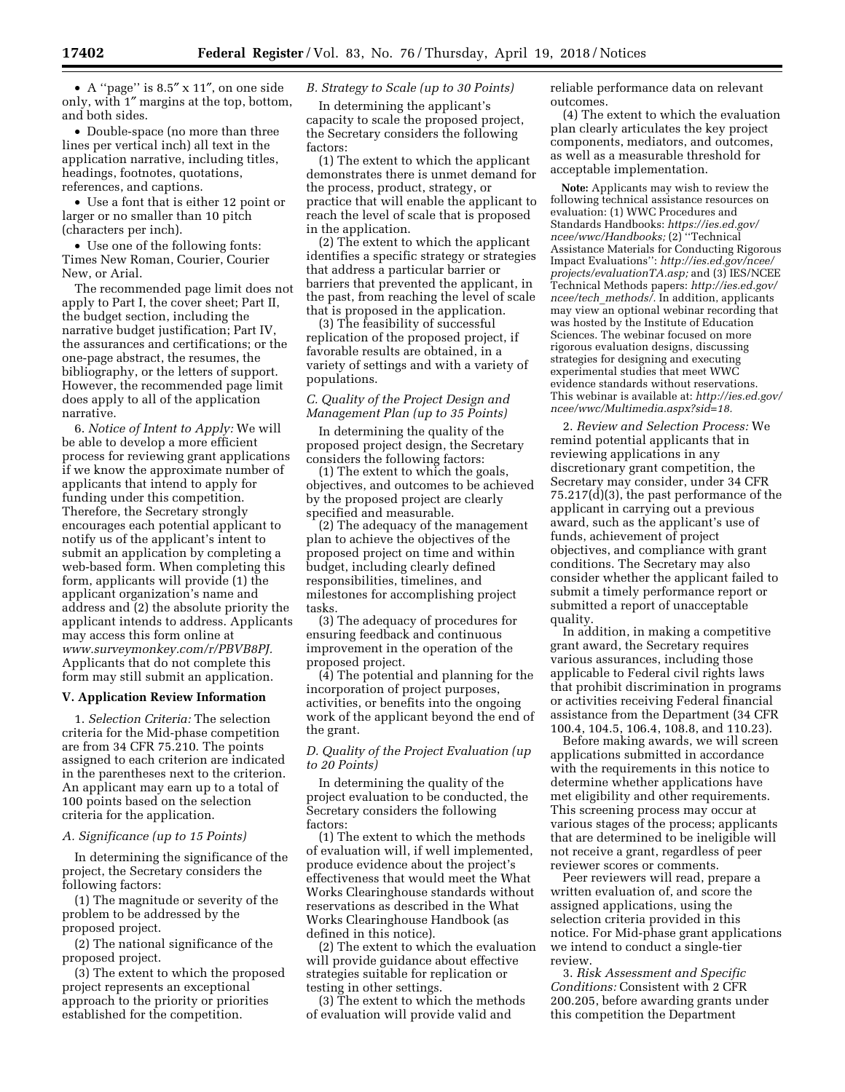• A ''page'' is 8.5″ x 11″, on one side only, with 1″ margins at the top, bottom, and both sides.

• Double-space (no more than three lines per vertical inch) all text in the application narrative, including titles, headings, footnotes, quotations, references, and captions.

• Use a font that is either 12 point or larger or no smaller than 10 pitch (characters per inch).

• Use one of the following fonts: Times New Roman, Courier, Courier New, or Arial.

The recommended page limit does not apply to Part I, the cover sheet; Part II, the budget section, including the narrative budget justification; Part IV, the assurances and certifications; or the one-page abstract, the resumes, the bibliography, or the letters of support. However, the recommended page limit does apply to all of the application narrative.

6. *Notice of Intent to Apply:* We will be able to develop a more efficient process for reviewing grant applications if we know the approximate number of applicants that intend to apply for funding under this competition. Therefore, the Secretary strongly encourages each potential applicant to notify us of the applicant's intent to submit an application by completing a web-based form. When completing this form, applicants will provide (1) the applicant organization's name and address and (2) the absolute priority the applicant intends to address. Applicants may access this form online at *[www.surveymonkey.com/r/PBVB8PJ.](http://www.surveymonkey.com/r/PBVB8PJ)*  Applicants that do not complete this form may still submit an application.

## **V. Application Review Information**

1. *Selection Criteria:* The selection criteria for the Mid-phase competition are from 34 CFR 75.210. The points assigned to each criterion are indicated in the parentheses next to the criterion. An applicant may earn up to a total of 100 points based on the selection criteria for the application.

### *A. Significance (up to 15 Points)*

In determining the significance of the project, the Secretary considers the following factors:

(1) The magnitude or severity of the problem to be addressed by the proposed project.

(2) The national significance of the proposed project.

(3) The extent to which the proposed project represents an exceptional approach to the priority or priorities established for the competition.

# *B. Strategy to Scale (up to 30 Points)*

In determining the applicant's capacity to scale the proposed project, the Secretary considers the following factors:

(1) The extent to which the applicant demonstrates there is unmet demand for the process, product, strategy, or practice that will enable the applicant to reach the level of scale that is proposed in the application.

(2) The extent to which the applicant identifies a specific strategy or strategies that address a particular barrier or barriers that prevented the applicant, in the past, from reaching the level of scale that is proposed in the application.

(3) The feasibility of successful replication of the proposed project, if favorable results are obtained, in a variety of settings and with a variety of populations.

# *C. Quality of the Project Design and Management Plan (up to 35 Points)*

In determining the quality of the proposed project design, the Secretary considers the following factors:

(1) The extent to which the goals, objectives, and outcomes to be achieved by the proposed project are clearly specified and measurable.

(2) The adequacy of the management plan to achieve the objectives of the proposed project on time and within budget, including clearly defined responsibilities, timelines, and milestones for accomplishing project tasks.

(3) The adequacy of procedures for ensuring feedback and continuous improvement in the operation of the proposed project.

(4) The potential and planning for the incorporation of project purposes, activities, or benefits into the ongoing work of the applicant beyond the end of the grant.

# *D. Quality of the Project Evaluation (up to 20 Points)*

In determining the quality of the project evaluation to be conducted, the Secretary considers the following factors:

(1) The extent to which the methods of evaluation will, if well implemented, produce evidence about the project's effectiveness that would meet the What Works Clearinghouse standards without reservations as described in the What Works Clearinghouse Handbook (as defined in this notice).

(2) The extent to which the evaluation will provide guidance about effective strategies suitable for replication or testing in other settings.

(3) The extent to which the methods of evaluation will provide valid and

reliable performance data on relevant outcomes.

(4) The extent to which the evaluation plan clearly articulates the key project components, mediators, and outcomes, as well as a measurable threshold for acceptable implementation.

**Note:** Applicants may wish to review the following technical assistance resources on evaluation: (1) WWC Procedures and Standards Handbooks: *[https://ies.ed.gov/](https://ies.ed.gov/ncee/wwc/Handbooks) [ncee/wwc/Handbooks;](https://ies.ed.gov/ncee/wwc/Handbooks)* (2) ''Technical Assistance Materials for Conducting Rigorous Impact Evaluations'': *[http://ies.ed.gov/ncee/](http://ies.ed.gov/ncee/projects/evaluationTA.asp) [projects/evaluationTA.asp;](http://ies.ed.gov/ncee/projects/evaluationTA.asp)* and (3) IES/NCEE Technical Methods papers: *[http://ies.ed.gov/](http://ies.ed.gov/ncee/tech_methods/) ncee/tech*\_*[methods/.](http://ies.ed.gov/ncee/tech_methods/)* In addition, applicants may view an optional webinar recording that was hosted by the Institute of Education Sciences. The webinar focused on more rigorous evaluation designs, discussing strategies for designing and executing experimental studies that meet WWC evidence standards without reservations. This webinar is available at: *[http://ies.ed.gov/](http://ies.ed.gov/ncee/wwc/Multimedia.aspx?sid=18)  [ncee/wwc/Multimedia.aspx?sid=18.](http://ies.ed.gov/ncee/wwc/Multimedia.aspx?sid=18)* 

2. *Review and Selection Process:* We remind potential applicants that in reviewing applications in any discretionary grant competition, the Secretary may consider, under 34 CFR 75.217(d)(3), the past performance of the applicant in carrying out a previous award, such as the applicant's use of funds, achievement of project objectives, and compliance with grant conditions. The Secretary may also consider whether the applicant failed to submit a timely performance report or submitted a report of unacceptable quality.

In addition, in making a competitive grant award, the Secretary requires various assurances, including those applicable to Federal civil rights laws that prohibit discrimination in programs or activities receiving Federal financial assistance from the Department (34 CFR 100.4, 104.5, 106.4, 108.8, and 110.23).

Before making awards, we will screen applications submitted in accordance with the requirements in this notice to determine whether applications have met eligibility and other requirements. This screening process may occur at various stages of the process; applicants that are determined to be ineligible will not receive a grant, regardless of peer reviewer scores or comments.

Peer reviewers will read, prepare a written evaluation of, and score the assigned applications, using the selection criteria provided in this notice. For Mid-phase grant applications we intend to conduct a single-tier review.

3. *Risk Assessment and Specific Conditions:* Consistent with 2 CFR 200.205, before awarding grants under this competition the Department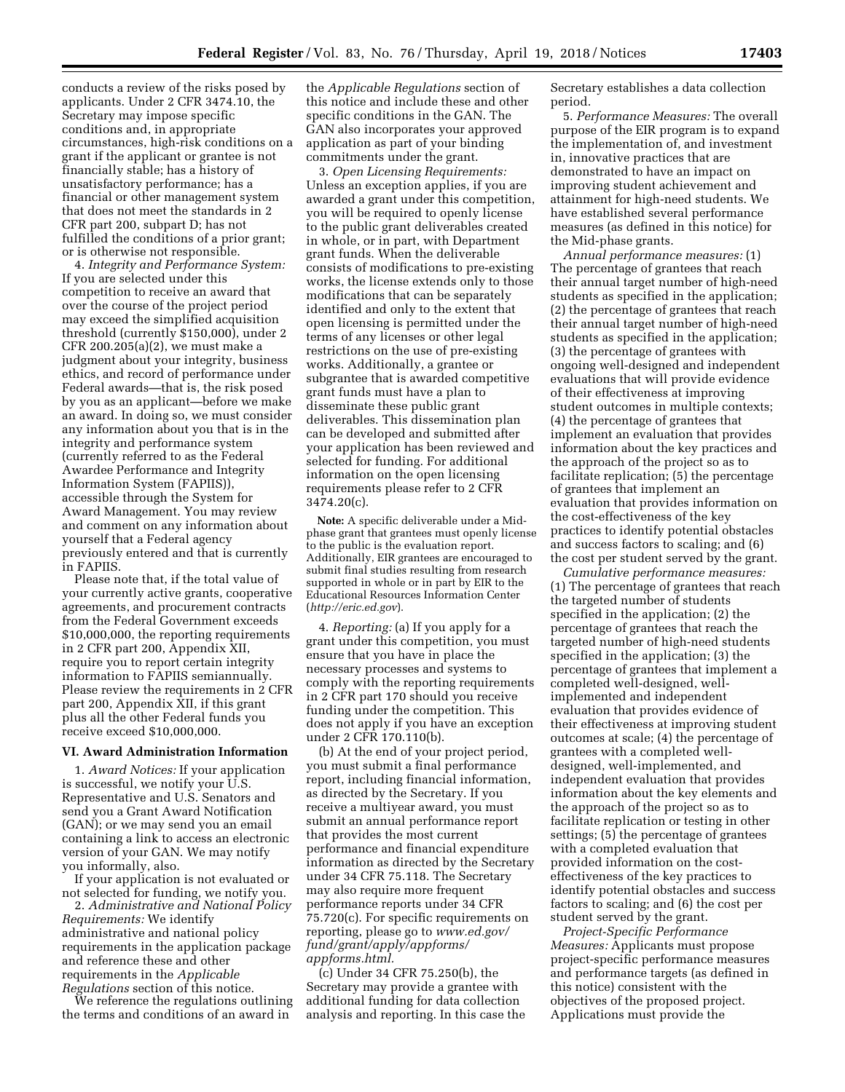conducts a review of the risks posed by applicants. Under 2 CFR 3474.10, the Secretary may impose specific conditions and, in appropriate circumstances, high-risk conditions on a grant if the applicant or grantee is not financially stable; has a history of unsatisfactory performance; has a financial or other management system that does not meet the standards in 2 CFR part 200, subpart D; has not fulfilled the conditions of a prior grant; or is otherwise not responsible.

4. *Integrity and Performance System:*  If you are selected under this competition to receive an award that over the course of the project period may exceed the simplified acquisition threshold (currently \$150,000), under 2 CFR 200.205(a)(2), we must make a judgment about your integrity, business ethics, and record of performance under Federal awards—that is, the risk posed by you as an applicant—before we make an award. In doing so, we must consider any information about you that is in the integrity and performance system (currently referred to as the Federal Awardee Performance and Integrity Information System (FAPIIS)), accessible through the System for Award Management. You may review and comment on any information about yourself that a Federal agency previously entered and that is currently in FAPIIS.

Please note that, if the total value of your currently active grants, cooperative agreements, and procurement contracts from the Federal Government exceeds \$10,000,000, the reporting requirements in 2 CFR part 200, Appendix XII, require you to report certain integrity information to FAPIIS semiannually. Please review the requirements in 2 CFR part 200, Appendix XII, if this grant plus all the other Federal funds you receive exceed \$10,000,000.

#### **VI. Award Administration Information**

1. *Award Notices:* If your application is successful, we notify your U.S. Representative and U.S. Senators and send you a Grant Award Notification (GAN); or we may send you an email containing a link to access an electronic version of your GAN. We may notify you informally, also.

If your application is not evaluated or not selected for funding, we notify you.

2. *Administrative and National Policy Requirements:* We identify administrative and national policy requirements in the application package and reference these and other requirements in the *Applicable Regulations* section of this notice.

We reference the regulations outlining the terms and conditions of an award in

the *Applicable Regulations* section of this notice and include these and other specific conditions in the GAN. The GAN also incorporates your approved application as part of your binding commitments under the grant.

3. *Open Licensing Requirements:*  Unless an exception applies, if you are awarded a grant under this competition, you will be required to openly license to the public grant deliverables created in whole, or in part, with Department grant funds. When the deliverable consists of modifications to pre-existing works, the license extends only to those modifications that can be separately identified and only to the extent that open licensing is permitted under the terms of any licenses or other legal restrictions on the use of pre-existing works. Additionally, a grantee or subgrantee that is awarded competitive grant funds must have a plan to disseminate these public grant deliverables. This dissemination plan can be developed and submitted after your application has been reviewed and selected for funding. For additional information on the open licensing requirements please refer to 2 CFR 3474.20(c).

**Note:** A specific deliverable under a Midphase grant that grantees must openly license to the public is the evaluation report. Additionally, EIR grantees are encouraged to submit final studies resulting from research supported in whole or in part by EIR to the Educational Resources Information Center (*<http://eric.ed.gov>*).

4. *Reporting:* (a) If you apply for a grant under this competition, you must ensure that you have in place the necessary processes and systems to comply with the reporting requirements in 2 CFR part 170 should you receive funding under the competition. This does not apply if you have an exception under 2 CFR 170.110(b).

(b) At the end of your project period, you must submit a final performance report, including financial information, as directed by the Secretary. If you receive a multiyear award, you must submit an annual performance report that provides the most current performance and financial expenditure information as directed by the Secretary under 34 CFR 75.118. The Secretary may also require more frequent performance reports under 34 CFR 75.720(c). For specific requirements on reporting, please go to *[www.ed.gov/](http://www.ed.gov/fund/grant/apply/appforms/appforms.html) [fund/grant/apply/appforms/](http://www.ed.gov/fund/grant/apply/appforms/appforms.html) [appforms.html.](http://www.ed.gov/fund/grant/apply/appforms/appforms.html)* 

(c) Under 34 CFR 75.250(b), the Secretary may provide a grantee with additional funding for data collection analysis and reporting. In this case the Secretary establishes a data collection period.

5. *Performance Measures:* The overall purpose of the EIR program is to expand the implementation of, and investment in, innovative practices that are demonstrated to have an impact on improving student achievement and attainment for high-need students. We have established several performance measures (as defined in this notice) for the Mid-phase grants.

*Annual performance measures:* (1) The percentage of grantees that reach their annual target number of high-need students as specified in the application; (2) the percentage of grantees that reach their annual target number of high-need students as specified in the application; (3) the percentage of grantees with ongoing well-designed and independent evaluations that will provide evidence of their effectiveness at improving student outcomes in multiple contexts; (4) the percentage of grantees that implement an evaluation that provides information about the key practices and the approach of the project so as to facilitate replication; (5) the percentage of grantees that implement an evaluation that provides information on the cost-effectiveness of the key practices to identify potential obstacles and success factors to scaling; and (6) the cost per student served by the grant.

*Cumulative performance measures:*  (1) The percentage of grantees that reach the targeted number of students specified in the application; (2) the percentage of grantees that reach the targeted number of high-need students specified in the application; (3) the percentage of grantees that implement a completed well-designed, wellimplemented and independent evaluation that provides evidence of their effectiveness at improving student outcomes at scale; (4) the percentage of grantees with a completed welldesigned, well-implemented, and independent evaluation that provides information about the key elements and the approach of the project so as to facilitate replication or testing in other settings; (5) the percentage of grantees with a completed evaluation that provided information on the costeffectiveness of the key practices to identify potential obstacles and success factors to scaling; and (6) the cost per student served by the grant.

*Project-Specific Performance Measures:* Applicants must propose project-specific performance measures and performance targets (as defined in this notice) consistent with the objectives of the proposed project. Applications must provide the